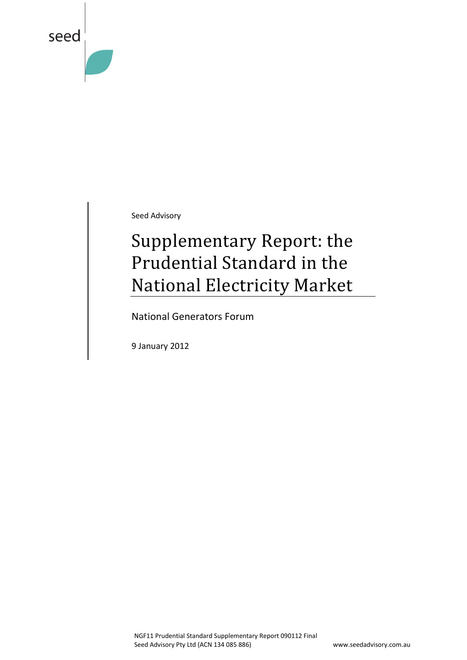

Seed Advisory

# Supplementary Report: the Prudential Standard in the National Electricity Market

National Generators Forum

9 January 2012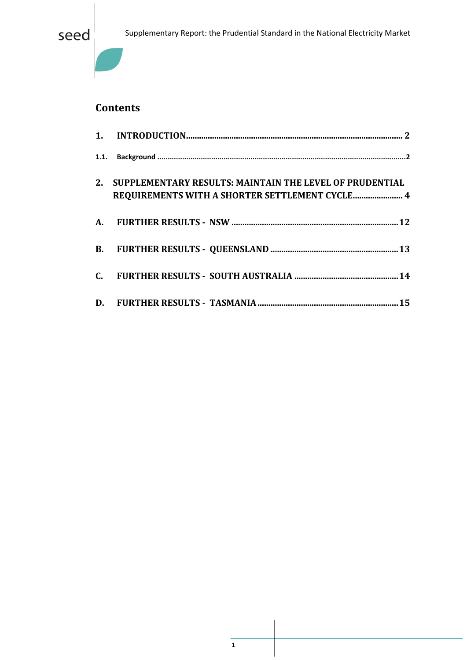

## **Contents**

| 2. | SUPPLEMENTARY RESULTS: MAINTAIN THE LEVEL OF PRUDENTIAL<br>REQUIREMENTS WITH A SHORTER SETTLEMENT CYCLE 4 |
|----|-----------------------------------------------------------------------------------------------------------|
|    |                                                                                                           |
|    |                                                                                                           |
|    |                                                                                                           |
|    |                                                                                                           |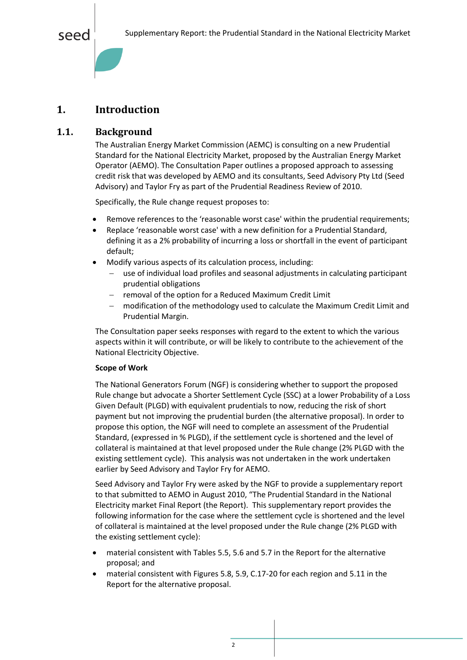## <span id="page-2-0"></span>**1. Introduction**

### <span id="page-2-1"></span>**1.1. Background**

The Australian Energy Market Commission (AEMC) is consulting on a new Prudential Standard for the National Electricity Market, proposed by the Australian Energy Market Operator (AEMO). The Consultation Paper outlines a proposed approach to assessing credit risk that was developed by AEMO and its consultants, Seed Advisory Pty Ltd (Seed Advisory) and Taylor Fry as part of the Prudential Readiness Review of 2010.

Specifically, the Rule change request proposes to:

- Remove references to the 'reasonable worst case' within the prudential requirements;
- Replace 'reasonable worst case' with a new definition for a Prudential Standard, defining it as a 2% probability of incurring a loss or shortfall in the event of participant default;
- Modify various aspects of its calculation process, including:
	- use of individual load profiles and seasonal adjustments in calculating participant prudential obligations
	- removal of the option for a Reduced Maximum Credit Limit
	- modification of the methodology used to calculate the Maximum Credit Limit and Prudential Margin.

The Consultation paper seeks responses with regard to the extent to which the various aspects within it will contribute, or will be likely to contribute to the achievement of the National Electricity Objective.

#### **Scope of Work**

The National Generators Forum (NGF) is considering whether to support the proposed Rule change but advocate a Shorter Settlement Cycle (SSC) at a lower Probability of a Loss Given Default (PLGD) with equivalent prudentials to now, reducing the risk of short payment but not improving the prudential burden (the alternative proposal). In order to propose this option, the NGF will need to complete an assessment of the Prudential Standard, (expressed in % PLGD), if the settlement cycle is shortened and the level of collateral is maintained at that level proposed under the Rule change (2% PLGD with the existing settlement cycle). This analysis was not undertaken in the work undertaken earlier by Seed Advisory and Taylor Fry for AEMO.

Seed Advisory and Taylor Fry were asked by the NGF to provide a supplementary report to that submitted to AEMO in August 2010, "The Prudential Standard in the National Electricity market Final Report (the Report). This supplementary report provides the following information for the case where the settlement cycle is shortened and the level of collateral is maintained at the level proposed under the Rule change (2% PLGD with the existing settlement cycle):

- material consistent with Tables 5.5, 5.6 and 5.7 in the Report for the alternative proposal; and
- material consistent with Figures 5.8, 5.9, C.17-20 for each region and 5.11 in the Report for the alternative proposal.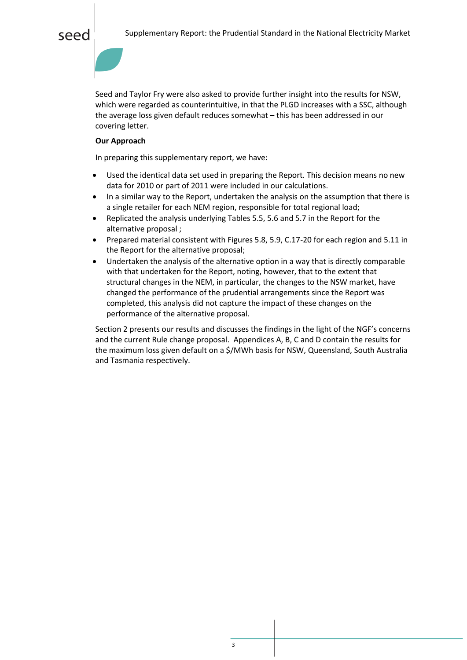Seed and Taylor Fry were also asked to provide further insight into the results for NSW, which were regarded as counterintuitive, in that the PLGD increases with a SSC, although the average loss given default reduces somewhat – this has been addressed in our covering letter.

#### **Our Approach**

In preparing this supplementary report, we have:

- Used the identical data set used in preparing the Report. This decision means no new data for 2010 or part of 2011 were included in our calculations.
- In a similar way to the Report, undertaken the analysis on the assumption that there is a single retailer for each NEM region, responsible for total regional load;
- Replicated the analysis underlying Tables 5.5, 5.6 and 5.7 in the Report for the alternative proposal ;
- Prepared material consistent with Figures 5.8, 5.9, C.17-20 for each region and 5.11 in the Report for the alternative proposal;
- Undertaken the analysis of the alternative option in a way that is directly comparable with that undertaken for the Report, noting, however, that to the extent that structural changes in the NEM, in particular, the changes to the NSW market, have changed the performance of the prudential arrangements since the Report was completed, this analysis did not capture the impact of these changes on the performance of the alternative proposal.

Section 2 presents our results and discusses the findings in the light of the NGF's concerns and the current Rule change proposal. Appendices A, B, C and D contain the results for the maximum loss given default on a \$/MWh basis for NSW, Queensland, South Australia and Tasmania respectively.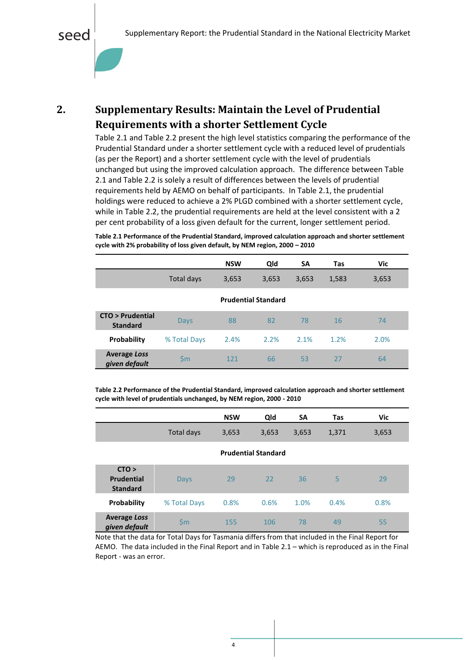

## <span id="page-4-0"></span>**2. Supplementary Results: Maintain the Level of Prudential Requirements with a shorter Settlement Cycle**

[Table 2.1](#page-4-1) and [Table 2.2](#page-4-2) present the high level statistics comparing the performance of the Prudential Standard under a shorter settlement cycle with a reduced level of prudentials (as per the Report) and a shorter settlement cycle with the level of prudentials unchanged but using the improved calculation approach. The difference between [Table](#page-4-1)  [2.1](#page-4-1) and [Table 2.2](#page-4-2) is solely a result of differences between the levels of prudential requirements held by AEMO on behalf of participants. In [Table 2.1,](#page-4-1) the prudential holdings were reduced to achieve a 2% PLGD combined with a shorter settlement cycle, while in [Table 2.2,](#page-4-2) the prudential requirements are held at the level consistent with a 2 per cent probability of a loss given default for the current, longer settlement period.

<span id="page-4-1"></span>**Table 2.1 Performance of the Prudential Standard, improved calculation approach and shorter settlement cycle with 2% probability of loss given default, by NEM region, 2000 – 2010**

|                                      |               | <b>NSW</b> | Qld                        | SΑ    | <b>Tas</b> | Vic   |
|--------------------------------------|---------------|------------|----------------------------|-------|------------|-------|
|                                      | Total days    | 3,653      | 3,653                      | 3,653 | 1,583      | 3,653 |
|                                      |               |            | <b>Prudential Standard</b> |       |            |       |
| CTO > Prudential<br><b>Standard</b>  | Days          | 88         | 82                         | 78    | <b>16</b>  | 74    |
| <b>Probability</b>                   | % Total Days  | 2.4%       | 2.2%                       | 2.1%  | 1.2%       | 2.0%  |
| <b>Average Loss</b><br>given default | $\mathsf{Sm}$ | 121        | 66                         | 53    | 27         | 64    |

<span id="page-4-2"></span>**Table 2.2 Performance of the Prudential Standard, improved calculation approach and shorter settlement cycle with level of prudentials unchanged, by NEM region, 2000 - 2010**

|                                               |               | <b>NSW</b> | Qld                        | SA    | <b>Tas</b> | <b>Vic</b> |
|-----------------------------------------------|---------------|------------|----------------------------|-------|------------|------------|
|                                               | Total days    | 3,653      | 3,653                      | 3,653 | 1,371      | 3,653      |
|                                               |               |            | <b>Prudential Standard</b> |       |            |            |
| CTO ><br><b>Prudential</b><br><b>Standard</b> | <b>Days</b>   | 29         | 22                         | 36    | 5          | 29         |
| <b>Probability</b>                            | % Total Days  | 0.8%       | 0.6%                       | 1.0%  | 0.4%       | 0.8%       |
| <b>Average Loss</b><br>given default          | $\mathsf{Sm}$ | 155        | 106                        | 78    | 49         | 55         |

Note that the data for Total Days for Tasmania differs from that included in the Final Report for AEMO. The data included in the Final Report and in [Table 2.1](#page-4-1) – which is reproduced as in the Final Report - was an error.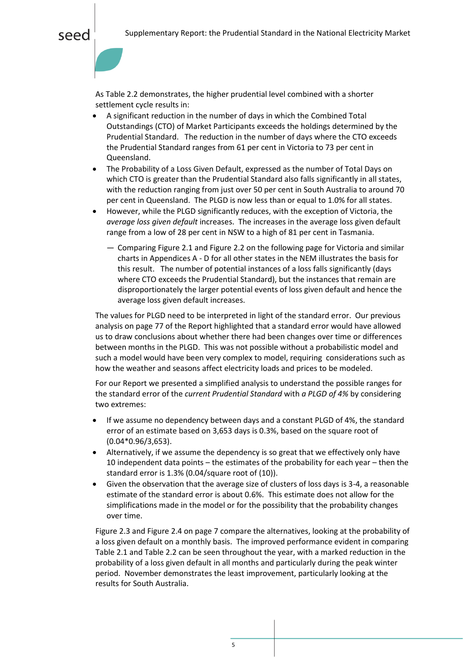As [Table 2.2](#page-4-2) demonstrates, the higher prudential level combined with a shorter settlement cycle results in:

- A significant reduction in the number of days in which the Combined Total Outstandings (CTO) of Market Participants exceeds the holdings determined by the Prudential Standard. The reduction in the number of days where the CTO exceeds the Prudential Standard ranges from 61 per cent in Victoria to 73 per cent in Queensland.
- The Probability of a Loss Given Default, expressed as the number of Total Days on which CTO is greater than the Prudential Standard also falls significantly in all states, with the reduction ranging from just over 50 per cent in South Australia to around 70 per cent in Queensland. The PLGD is now less than or equal to 1.0% for all states.
- However, while the PLGD significantly reduces, with the exception of Victoria, the *average loss given default* increases. The increases in the average loss given default range from a low of 28 per cent in NSW to a high of 81 per cent in Tasmania.
	- ― Comparing Figure 2.1 an[d Figure 2.2](#page-6-0) on the following page for Victoria and similar charts in Appendices A - D for all other states in the NEM illustrates the basis for this result. The number of potential instances of a loss falls significantly (days where CTO exceeds the Prudential Standard), but the instances that remain are disproportionately the larger potential events of loss given default and hence the average loss given default increases.

The values for PLGD need to be interpreted in light of the standard error. Our previous analysis on page 77 of the Report highlighted that a standard error would have allowed us to draw conclusions about whether there had been changes over time or differences between months in the PLGD. This was not possible without a probabilistic model and such a model would have been very complex to model, requiring considerations such as how the weather and seasons affect electricity loads and prices to be modeled.

For our Report we presented a simplified analysis to understand the possible ranges for the standard error of the *current Prudential Standard* with *a PLGD of 4%* by considering two extremes:

- If we assume no dependency between days and a constant PLGD of 4%, the standard error of an estimate based on 3,653 days is 0.3%, based on the square root of (0.04\*0.96/3,653).
- Alternatively, if we assume the dependency is so great that we effectively only have 10 independent data points – the estimates of the probability for each year – then the standard error is 1.3% (0.04/square root of (10)).
- Given the observation that the average size of clusters of loss days is 3-4, a reasonable estimate of the standard error is about 0.6%. This estimate does not allow for the simplifications made in the model or for the possibility that the probability changes over time.

Figure 2.3 and Figure 2.4 on page 7 compare the alternatives, looking at the probability of a loss given default on a monthly basis. The improved performance evident in comparing Table 2.1 and Table 2.2 can be seen throughout the year, with a marked reduction in the probability of a loss given default in all months and particularly during the peak winter period. November demonstrates the least improvement, particularly looking at the results for South Australia.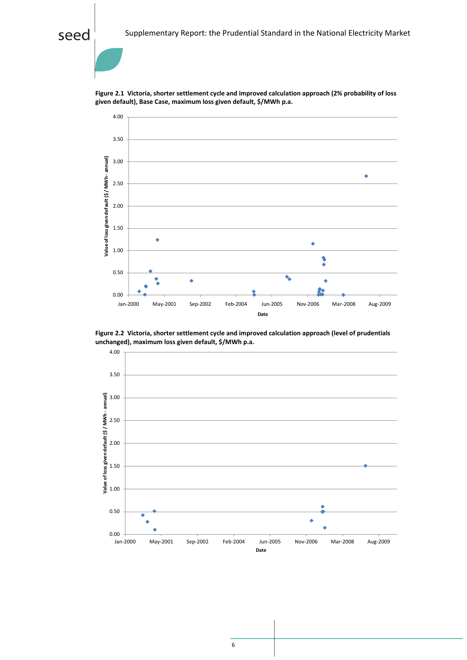## seed



**Figure 2.1 Victoria, shorter settlement cycle and improved calculation approach (2% probability of loss given default), Base Case, maximum loss given default, \$/MWh p.a.**

<span id="page-6-0"></span>**Figure 2.2 Victoria, shorter settlement cycle and improved calculation approach (level of prudentials unchanged), maximum loss given default, \$/MWh p.a.**

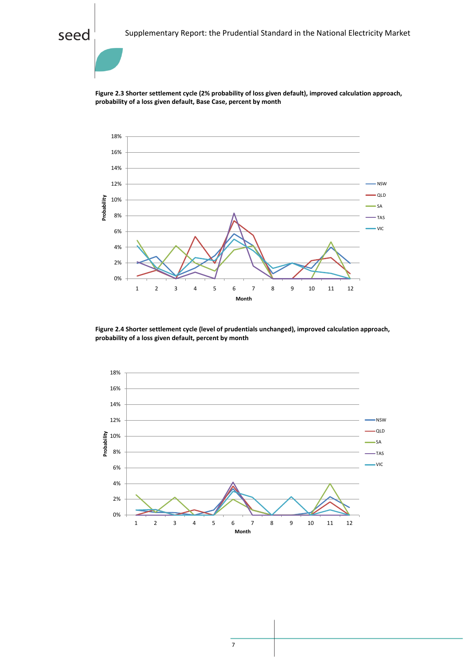**Figure 2.3 Shorter settlement cycle (2% probability of loss given default), improved calculation approach, probability of a loss given default, Base Case, percent by month**



**Figure 2.4 Shorter settlement cycle (level of prudentials unchanged), improved calculation approach, probability of a loss given default, percent by month**

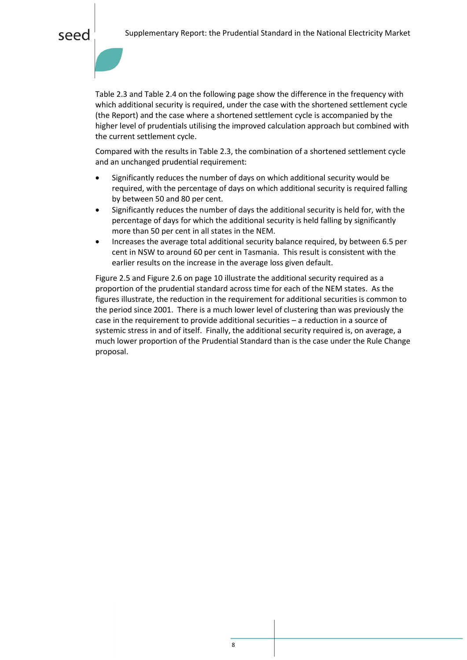seec

Table 2.3 and Table 2.4 on the following page show the difference in the frequency with which additional security is required, under the case with the shortened settlement cycle (the Report) and the case where a shortened settlement cycle is accompanied by the higher level of prudentials utilising the improved calculation approach but combined with the current settlement cycle.

Compared with the results in Table 2.3, the combination of a shortened settlement cycle and an unchanged prudential requirement:

- Significantly reduces the number of days on which additional security would be required, with the percentage of days on which additional security is required falling by between 50 and 80 per cent.
- Significantly reduces the number of days the additional security is held for, with the percentage of days for which the additional security is held falling by significantly more than 50 per cent in all states in the NEM.
- Increases the average total additional security balance required, by between 6.5 per cent in NSW to around 60 per cent in Tasmania. This result is consistent with the earlier results on the increase in the average loss given default.

Figure 2.5 and Figure 2.6 on page 10 illustrate the additional security required as a proportion of the prudential standard across time for each of the NEM states. As the figures illustrate, the reduction in the requirement for additional securities is common to the period since 2001. There is a much lower level of clustering than was previously the case in the requirement to provide additional securities – a reduction in a source of systemic stress in and of itself. Finally, the additional security required is, on average, a much lower proportion of the Prudential Standard than is the case under the Rule Change proposal.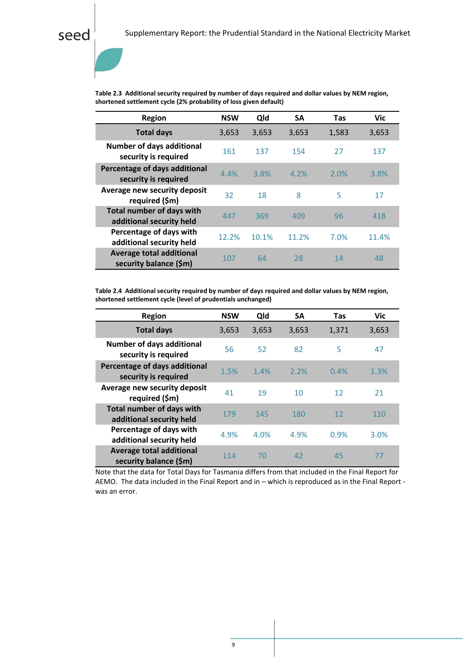## **Table 2.3 Additional security required by number of days required and dollar values by NEM region, shortened settlement cycle (2% probability of loss given default)**

| Region                                                       | <b>NSW</b> | Qld   | <b>SA</b> | <b>Tas</b> | <b>Vic</b> |
|--------------------------------------------------------------|------------|-------|-----------|------------|------------|
| <b>Total days</b>                                            | 3,653      | 3,653 | 3,653     | 1,583      | 3,653      |
| <b>Number of days additional</b><br>security is required     | 161        | 137   | 154       | 27         | 137        |
| Percentage of days additional<br>security is required        | 4.4%       | 3.8%  | 4.2%      | 2.0%       | 3.8%       |
| Average new security deposit<br>required (\$m)               | 32         | 18    | 8         | 5          | 17         |
| <b>Total number of days with</b><br>additional security held | 447        | 369   | 409       | 96         | 418        |
| Percentage of days with<br>additional security held          | 12.2%      | 10.1% | 11.2%     | 7.0%       | 11.4%      |
| <b>Average total additional</b><br>security balance (\$m)    | 107        | 64    | 28        | 14         | 48         |

**Table 2.4 Additional security required by number of days required and dollar values by NEM region, shortened settlement cycle (level of prudentials unchanged)**

| <b>Region</b>                                                | <b>NSW</b> | Qld   | <b>SA</b> | Tas   | <b>Vic</b> |
|--------------------------------------------------------------|------------|-------|-----------|-------|------------|
| <b>Total days</b>                                            | 3,653      | 3,653 | 3,653     | 1,371 | 3,653      |
| <b>Number of days additional</b><br>security is required     | 56         | 52    | 82        | 5     | 47         |
| Percentage of days additional<br>security is required        | 1.5%       | 1.4%  | 2.2%      | 0.4%  | 1.3%       |
| Average new security deposit<br>required (\$m)               | 41         | 19    | 10        | 12    | 21         |
| <b>Total number of days with</b><br>additional security held | 179        | 145   | 180       | 12    | 110        |
| Percentage of days with<br>additional security held          | 4.9%       | 4.0%  | 4.9%      | 0.9%  | 3.0%       |
| <b>Average total additional</b><br>security balance (\$m)    | 114        | 70    | 42        | 45    | 77         |

Note that the data for Total Days for Tasmania differs from that included in the Final Report for AEMO. The data included in the Final Report and in – which is reproduced as in the Final Report was an error.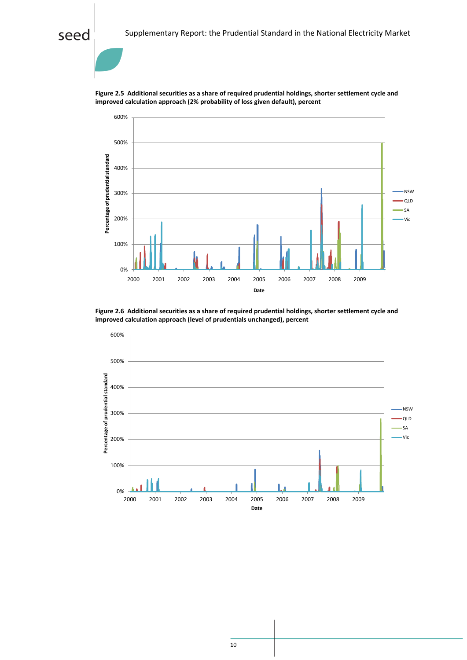## seed



**Figure 2.5 Additional securities as a share of required prudential holdings, shorter settlement cycle and improved calculation approach (2% probability of loss given default), percent**

**Figure 2.6 Additional securities as a share of required prudential holdings, shorter settlement cycle and improved calculation approach (level of prudentials unchanged), percent**

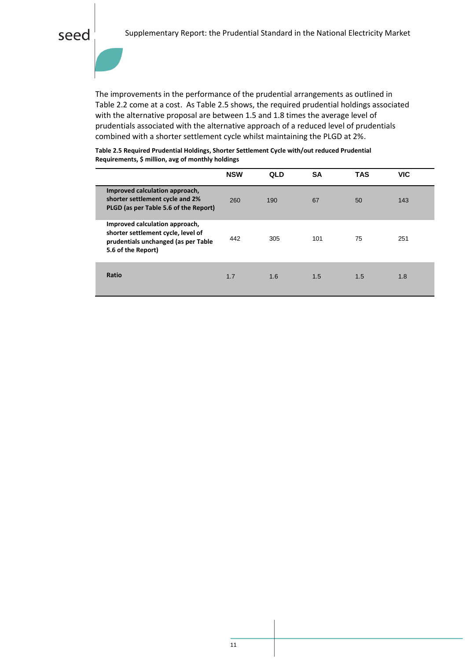The improvements in the performance of the prudential arrangements as outlined in Table 2.2 come at a cost. As Table 2.5 shows, the required prudential holdings associated with the alternative proposal are between 1.5 and 1.8 times the average level of prudentials associated with the alternative approach of a reduced level of prudentials combined with a shorter settlement cycle whilst maintaining the PLGD at 2%.

| Table 2.5 Required Prudential Holdings, Shorter Settlement Cycle with/out reduced Prudential |
|----------------------------------------------------------------------------------------------|
| Requirements, \$ million, avg of monthly holdings                                            |

|                                                                                                                                   | <b>NSW</b> | <b>QLD</b> | <b>SA</b> | <b>TAS</b> | <b>VIC</b> |
|-----------------------------------------------------------------------------------------------------------------------------------|------------|------------|-----------|------------|------------|
| Improved calculation approach,<br>shorter settlement cycle and 2%<br>PLGD (as per Table 5.6 of the Report)                        | 260        | 190        | 67        | 50         | 143        |
| Improved calculation approach,<br>shorter settlement cycle, level of<br>prudentials unchanged (as per Table<br>5.6 of the Report) | 442        | 305        | 101       | 75         | 251        |
| Ratio                                                                                                                             | 1.7        | 1.6        | 1.5       | 1.5        | 1.8        |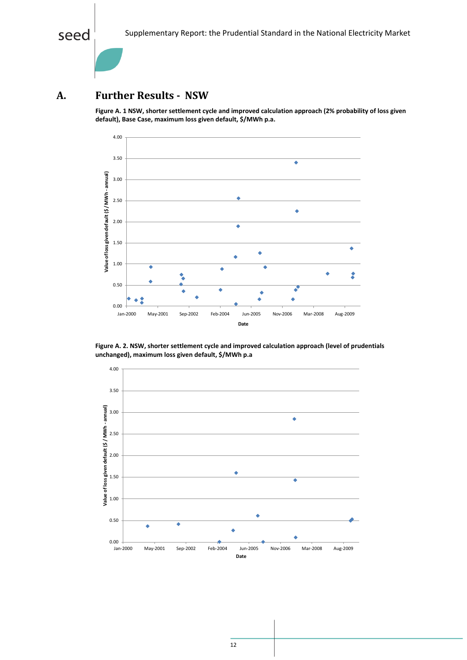## <span id="page-12-0"></span>**A. Further Results - NSW**

**Figure A. 1 NSW, shorter settlement cycle and improved calculation approach (2% probability of loss given default), Base Case, maximum loss given default, \$/MWh p.a.**



**Figure A. 2. NSW, shorter settlement cycle and improved calculation approach (level of prudentials unchanged), maximum loss given default, \$/MWh p.a**

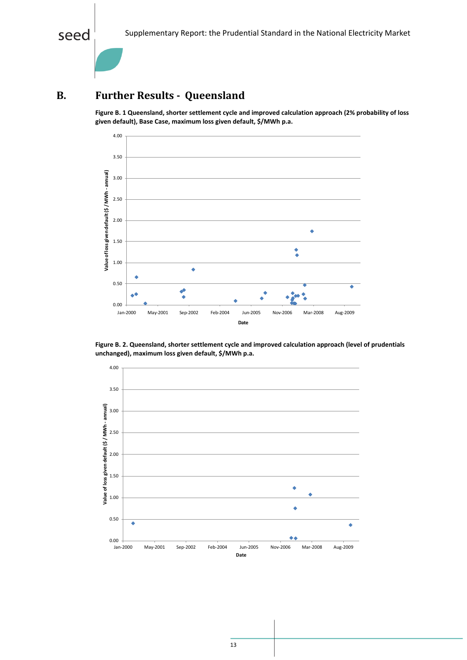

## <span id="page-13-0"></span>**B. Further Results - Queensland**

**Figure B. 1 Queensland, shorter settlement cycle and improved calculation approach (2% probability of loss given default), Base Case, maximum loss given default, \$/MWh p.a.**



**Figure B. 2. Queensland, shorter settlement cycle and improved calculation approach (level of prudentials unchanged), maximum loss given default, \$/MWh p.a.**

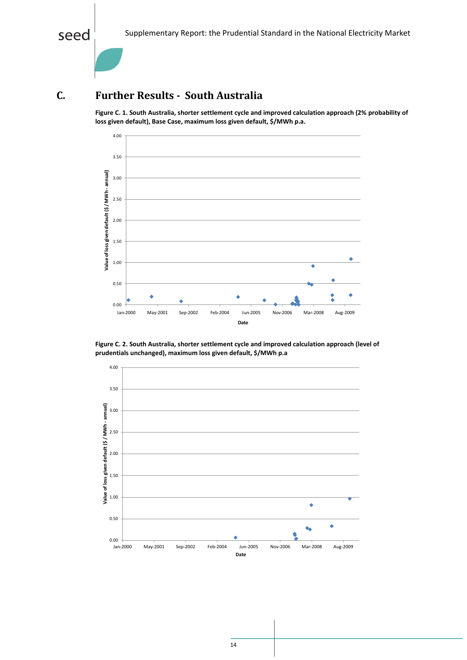

## <span id="page-14-0"></span>**C. Further Results - South Australia**

**Figure C. 1. South Australia, shorter settlement cycle and improved calculation approach (2% probability of loss given default), Base Case, maximum loss given default, \$/MWh p.a.**



**Figure C. 2. South Australia, shorter settlement cycle and improved calculation approach (level of prudentials unchanged), maximum loss given default, \$/MWh p.a**